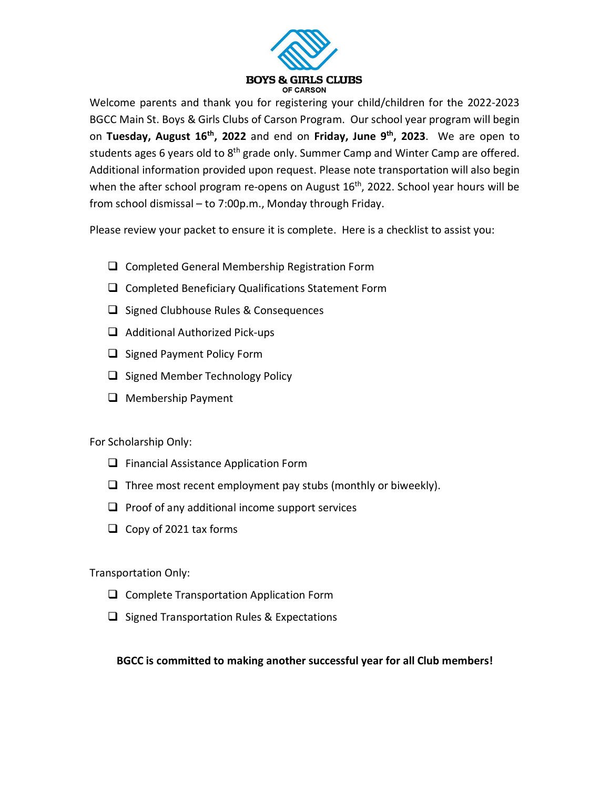

Welcome parents and thank you for registering your child/children for the 2022-2023 BGCC Main St. Boys & Girls Clubs of Carson Program. Our school year program will begin on **Tuesday, August 16th, 2022** and end on **Friday, June 9th, 2023**. We are open to students ages 6 years old to 8<sup>th</sup> grade only. Summer Camp and Winter Camp are offered. Additional information provided upon request. Please note transportation will also begin when the after school program re-opens on August  $16<sup>th</sup>$ , 2022. School year hours will be from school dismissal – to 7:00p.m., Monday through Friday.

Please review your packet to ensure it is complete. Here is a checklist to assist you:

- $\Box$  Completed General Membership Registration Form
- $\square$  Completed Beneficiary Qualifications Statement Form
- $\Box$  Signed Clubhouse Rules & Consequences
- $\Box$  Additional Authorized Pick-ups
- $\Box$  Signed Payment Policy Form
- $\Box$  Signed Member Technology Policy
- $\Box$  Membership Payment

For Scholarship Only:

- $\Box$  Financial Assistance Application Form
- $\Box$  Three most recent employment pay stubs (monthly or biweekly).
- $\Box$  Proof of any additional income support services
- $\Box$  Copy of 2021 tax forms

Transportation Only:

- □ Complete Transportation Application Form
- $\Box$  Signed Transportation Rules & Expectations

#### **BGCC is committed to making another successful year for all Club members!**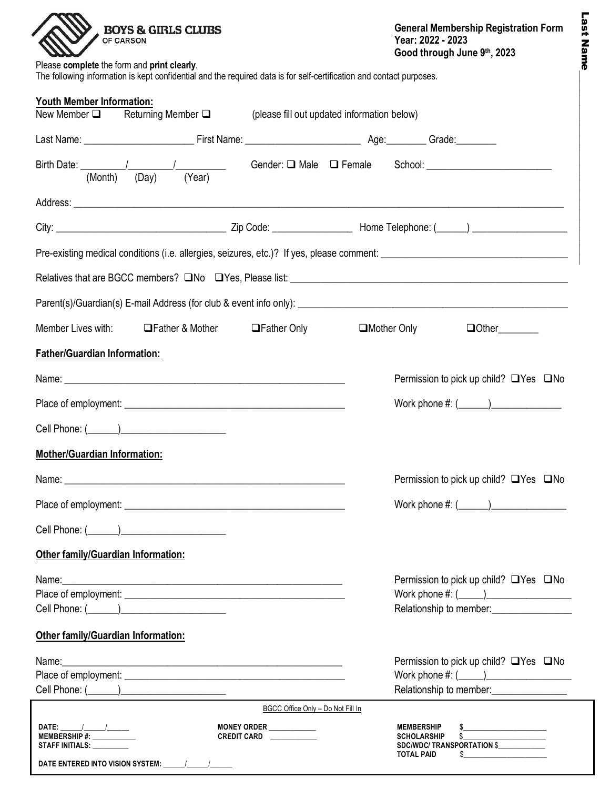| <b>BOYS &amp; GIRLS CLUBS</b><br>OF CARSON                                                                                                                                                                                    |                                             | <b>General Membership Registration Form</b><br>Year: 2022 - 2023<br>Good through June 9th, 2023                    |  |
|-------------------------------------------------------------------------------------------------------------------------------------------------------------------------------------------------------------------------------|---------------------------------------------|--------------------------------------------------------------------------------------------------------------------|--|
| Please complete the form and print clearly.<br>The following information is kept confidential and the required data is for self-certification and contact purposes.                                                           |                                             |                                                                                                                    |  |
| <b>Youth Member Information:</b>                                                                                                                                                                                              |                                             |                                                                                                                    |  |
| New Member $\square$ Returning Member $\square$                                                                                                                                                                               | (please fill out updated information below) |                                                                                                                    |  |
|                                                                                                                                                                                                                               |                                             |                                                                                                                    |  |
|                                                                                                                                                                                                                               |                                             |                                                                                                                    |  |
|                                                                                                                                                                                                                               |                                             |                                                                                                                    |  |
|                                                                                                                                                                                                                               |                                             |                                                                                                                    |  |
|                                                                                                                                                                                                                               |                                             |                                                                                                                    |  |
|                                                                                                                                                                                                                               |                                             |                                                                                                                    |  |
|                                                                                                                                                                                                                               |                                             |                                                                                                                    |  |
| Member Lives with: <b>IFather &amp; Mother</b>                                                                                                                                                                                | <b>Sather Only</b>                          | □Mother Only<br>$\Box$ Other                                                                                       |  |
| <b>Father/Guardian Information:</b>                                                                                                                                                                                           |                                             |                                                                                                                    |  |
|                                                                                                                                                                                                                               |                                             |                                                                                                                    |  |
|                                                                                                                                                                                                                               |                                             | Permission to pick up child? $\Box$ Yes $\Box$ No                                                                  |  |
|                                                                                                                                                                                                                               |                                             | Work phone $\#: (\_\_\_\_\_)\_\_\_\_\_\_\_$                                                                        |  |
|                                                                                                                                                                                                                               |                                             |                                                                                                                    |  |
| <b>Mother/Guardian Information:</b>                                                                                                                                                                                           |                                             |                                                                                                                    |  |
|                                                                                                                                                                                                                               |                                             | Permission to pick up child? $\Box$ Yes $\Box$ No                                                                  |  |
|                                                                                                                                                                                                                               |                                             |                                                                                                                    |  |
|                                                                                                                                                                                                                               |                                             |                                                                                                                    |  |
| Other family/Guardian Information:                                                                                                                                                                                            |                                             |                                                                                                                    |  |
|                                                                                                                                                                                                                               |                                             | Permission to pick up child? $\Box$ Yes $\Box$ No                                                                  |  |
| Name: Name: Name: Name: Name: Name: Name: Name: Name: Name: Name: Name: Name: Name: Name: Name: Name: Name: Name: Name: Name: Name: Name: Name: Name: Name: Name: Name: Name: Name: Name: Name: Name: Name: Name: Name: Name: |                                             | Work phone $\#: (\_\_\_\_\_\_\_\_\_\_$                                                                             |  |
|                                                                                                                                                                                                                               |                                             |                                                                                                                    |  |
| <b>Other family/Guardian Information:</b>                                                                                                                                                                                     |                                             |                                                                                                                    |  |
|                                                                                                                                                                                                                               |                                             | Permission to pick up child? $\Box$ Yes $\Box$ No                                                                  |  |
|                                                                                                                                                                                                                               |                                             |                                                                                                                    |  |
|                                                                                                                                                                                                                               | BGCC Office Only - Do Not Fill In           | Relationship to member: ________________                                                                           |  |
| DATE: $\frac{1}{\sqrt{2}}$                                                                                                                                                                                                    | MONEY ORDER ____________                    |                                                                                                                    |  |
| STAFF INITIALS: _________                                                                                                                                                                                                     | CREDIT CARD                                 | MEMBERSHIP \$_____________________<br>SCHOLARSHIP \$_____________________<br>SDC/WDC/ TRANSPORTATION \$___________ |  |
| DATE ENTERED INTO VISION SYSTEM: ______/________/________                                                                                                                                                                     |                                             | <b>TOTAL PAID</b><br>$\frac{1}{2}$                                                                                 |  |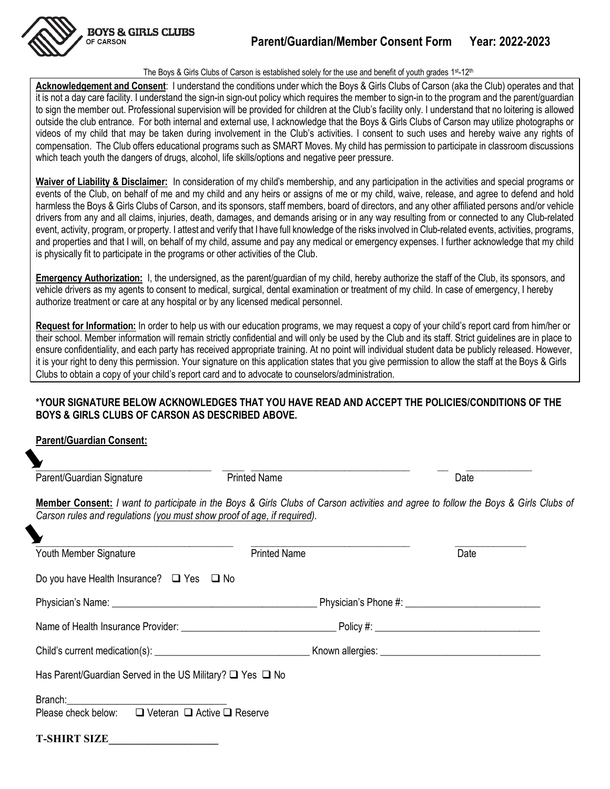

#### The Boys & Girls Clubs of Carson is established solely for the use and benefit of youth grades 1st-12th

**Acknowledgement and Consent**: I understand the conditions under which the Boys & Girls Clubs of Carson (aka the Club) operates and that it is not a day care facility. I understand the sign-in sign-out policy which requires the member to sign-in to the program and the parent/guardian to sign the member out. Professional supervision will be provided for children at the Club's facility only. I understand that no loitering is allowed outside the club entrance. For both internal and external use, I acknowledge that the Boys & Girls Clubs of Carson may utilize photographs or videos of my child that may be taken during involvement in the Club's activities. I consent to such uses and hereby waive any rights of compensation. The Club offers educational programs such as SMART Moves. My child has permission to participate in classroom discussions which teach youth the dangers of drugs, alcohol, life skills/options and negative peer pressure.

**Waiver of Liability & Disclaimer:** In consideration of my child's membership, and any participation in the activities and special programs or events of the Club, on behalf of me and my child and any heirs or assigns of me or my child, waive, release, and agree to defend and hold harmless the Boys & Girls Clubs of Carson, and its sponsors, staff members, board of directors, and any other affiliated persons and/or vehicle drivers from any and all claims, injuries, death, damages, and demands arising or in any way resulting from or connected to any Club-related event, activity, program, or property. I attest and verify that I have full knowledge of the risks involved in Club-related events, activities, programs, and properties and that I will, on behalf of my child, assume and pay any medical or emergency expenses. I further acknowledge that my child is physically fit to participate in the programs or other activities of the Club.

**Emergency Authorization:** I, the undersigned, as the parent/guardian of my child, hereby authorize the staff of the Club, its sponsors, and vehicle drivers as my agents to consent to medical, surgical, dental examination or treatment of my child. In case of emergency, I hereby authorize treatment or care at any hospital or by any licensed medical personnel.

**Request for Information:** In order to help us with our education programs, we may request a copy of your child's report card from him/her or their school. Member information will remain strictly confidential and will only be used by the Club and its staff. Strict guidelines are in place to ensure confidentiality, and each party has received appropriate training. At no point will individual student data be publicly released. However, it is your right to deny this permission. Your signature on this application states that you give permission to allow the staff at the Boys & Girls Clubs to obtain a copy of your child's report card and to advocate to counselors/administration.

#### **\*YOUR SIGNATURE BELOW ACKNOWLEDGES THAT YOU HAVE READ AND ACCEPT THE POLICIES/CONDITIONS OF THE BOYS & GIRLS CLUBS OF CARSON AS DESCRIBED ABOVE.**

#### **Parent/Guardian Consent:**

| Parent/Guardian Signature                                               | <b>Printed Name</b>                                                                                                                       | Date |
|-------------------------------------------------------------------------|-------------------------------------------------------------------------------------------------------------------------------------------|------|
| Carson rules and regulations (you must show proof of age, if required). | <b>Member Consent:</b> I want to participate in the Boys & Girls Clubs of Carson activities and agree to follow the Boys & Girls Clubs of |      |
|                                                                         |                                                                                                                                           |      |
| Youth Member Signature                                                  | <b>Printed Name</b>                                                                                                                       | Date |
| Do you have Health Insurance? $\Box$ Yes $\Box$ No                      |                                                                                                                                           |      |
|                                                                         |                                                                                                                                           |      |
|                                                                         |                                                                                                                                           |      |
|                                                                         |                                                                                                                                           |      |
| Has Parent/Guardian Served in the US Military? $\Box$ Yes $\Box$ No     |                                                                                                                                           |      |
|                                                                         |                                                                                                                                           |      |
| Please check below: □ Veteran □ Active □ Reserve                        |                                                                                                                                           |      |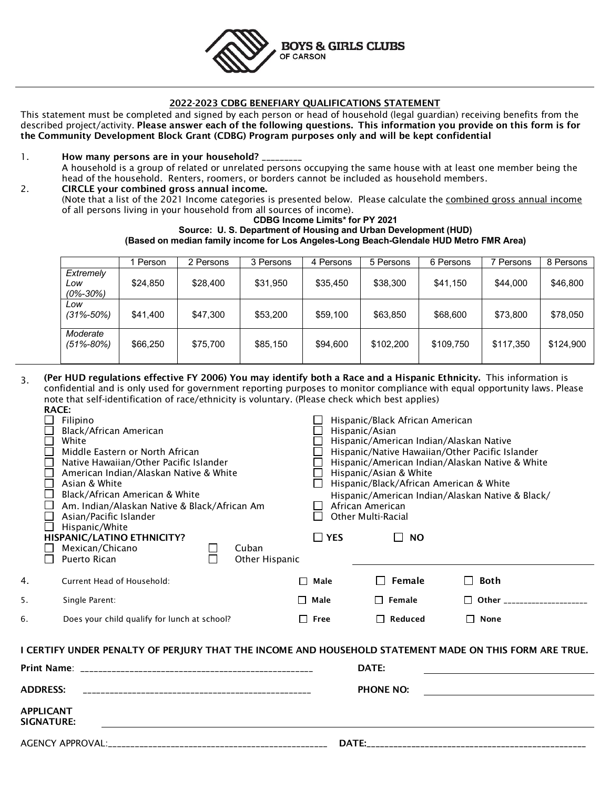

#### 2022-2023 CDBG BENEFIARY QUALIFICATIONS STATEMENT

This statement must be completed and signed by each person or head of household (legal guardian) receiving benefits from the described project/activity. Please answer each of the following questions. This information you provide on this form is for the Community Development Block Grant (CDBG) Program purposes only and will be kept confidential

- 1. How many persons are in your household? A household is a group of related or unrelated persons occupying the same house with at least one member being the head of the household. Renters, roomers, or borders cannot be included as household members.
- 2. CIRCLE your combined gross annual income. (Note that a list of the 2021 Income categories is presented below. Please calculate the combined gross annual income of all persons living in your household from all sources of income).

#### **CDBG Income Limits\* for PY 2021 Source: U. S. Department of Housing and Urban Development (HUD) (Based on median family income for Los Angeles-Long Beach-Glendale HUD Metro FMR Area)**

|                                    | Person   | 2 Persons | 3 Persons | 4 Persons | 5 Persons | 6 Persons | Persons   | 8 Persons |
|------------------------------------|----------|-----------|-----------|-----------|-----------|-----------|-----------|-----------|
| Extremely<br>Low<br>$(0\% - 30\%)$ | \$24,850 | \$28,400  | \$31,950  | \$35,450  | \$38,300  | \$41.150  | \$44,000  | \$46,800  |
| Low<br>$(31\% - 50\%)$             | \$41.400 | \$47,300  | \$53,200  | \$59,100  | \$63,850  | \$68,600  | \$73,800  | \$78,050  |
| Moderate<br>$(51\% - 80\%)$        | \$66,250 | \$75,700  | \$85,150  | \$94,600  | \$102.200 | \$109.750 | \$117,350 | \$124,900 |

3. (Per HUD regulations effective FY 2006) You may identify both a Race and a Hispanic Ethnicity. This information is confidential and is only used for government reporting purposes to monitor compliance with equal opportunity laws. Please note that self-identification of race/ethnicity is voluntary. (Please check which best applies) RACE:

| Filipino<br>Black/African American<br>White<br>$\Box$<br>Middle Eastern or North African<br>Native Hawaiian/Other Pacific Islander<br>$\mathsf{L}$<br>П<br>American Indian/Alaskan Native & White<br>$\Box$<br>Asian & White<br>Black/African American & White<br>$\Box$<br>⊔<br>Am. Indian/Alaskan Native & Black/African Am<br>Asian/Pacific Islander<br>$\Box$<br>Hispanic/White<br>HISPANIC/LATINO ETHNICITY?<br>Mexican/Chicano<br>Cuban<br>$\mathsf{L}$<br>ப<br>$\Box$<br>Puerto Rican<br>$\Box$ | $\mathsf{L}$<br>$\perp$<br>$\Box$ YES<br>Other Hispanic | Hispanic/Black African American<br>Hispanic/Asian<br>Hispanic/American Indian/Alaskan Native<br>Hispanic/Asian & White<br>Hispanic/Black/African American & White<br>African American<br><b>Other Multi-Racial</b><br>$\Box$<br><b>NO</b> | Hispanic/Native Hawaiian/Other Pacific Islander<br>Hispanic/American Indian/Alaskan Native & White<br>Hispanic/American Indian/Alaskan Native & Black/ |
|--------------------------------------------------------------------------------------------------------------------------------------------------------------------------------------------------------------------------------------------------------------------------------------------------------------------------------------------------------------------------------------------------------------------------------------------------------------------------------------------------------|---------------------------------------------------------|-------------------------------------------------------------------------------------------------------------------------------------------------------------------------------------------------------------------------------------------|--------------------------------------------------------------------------------------------------------------------------------------------------------|
| 4.<br><b>Current Head of Household:</b>                                                                                                                                                                                                                                                                                                                                                                                                                                                                | Male                                                    | Female<br>$\mathbf{I}$                                                                                                                                                                                                                    | <b>Both</b>                                                                                                                                            |
| Single Parent:<br>5.                                                                                                                                                                                                                                                                                                                                                                                                                                                                                   | $\Box$ Male                                             | $\Box$ Female                                                                                                                                                                                                                             | $\Box$ Other _____________________                                                                                                                     |
| 6.<br>Does your child qualify for lunch at school?                                                                                                                                                                                                                                                                                                                                                                                                                                                     | $\Box$ Free                                             | $\Box$ Reduced                                                                                                                                                                                                                            | $\Box$ None                                                                                                                                            |
| I CERTIFY UNDER PENALTY OF PERJURY THAT THE INCOME AND HOUSEHOLD STATEMENT MADE ON THIS FORM ARE TRUE.<br><b>ADDRESS:</b><br>APPLICANT<br>SIGNATURE:                                                                                                                                                                                                                                                                                                                                                   |                                                         | DATE:<br><b>PHONE NO:</b>                                                                                                                                                                                                                 |                                                                                                                                                        |
|                                                                                                                                                                                                                                                                                                                                                                                                                                                                                                        |                                                         |                                                                                                                                                                                                                                           |                                                                                                                                                        |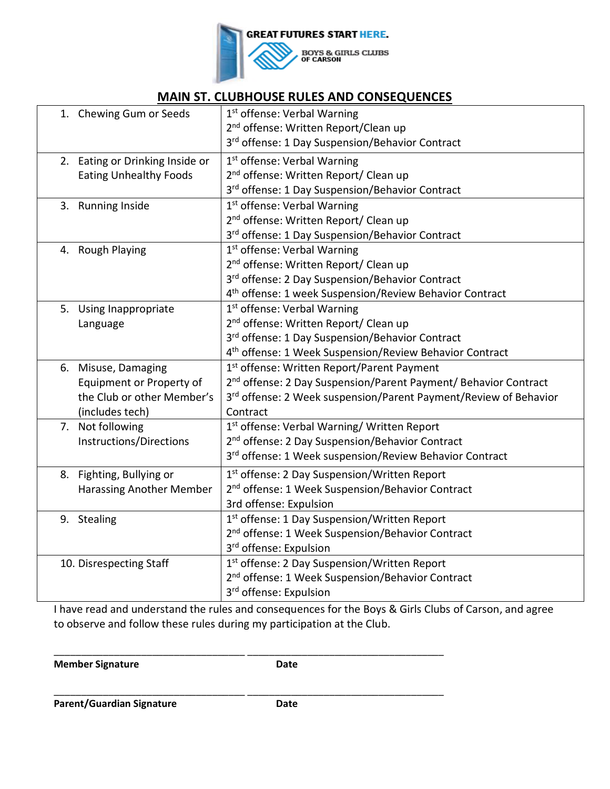

# **MAIN ST. CLUBHOUSE RULES AND CONSEQUENCES**

| 1. Chewing Gum or Seeds         | 1 <sup>st</sup> offense: Verbal Warning                                     |
|---------------------------------|-----------------------------------------------------------------------------|
|                                 | 2 <sup>nd</sup> offense: Written Report/Clean up                            |
|                                 | 3rd offense: 1 Day Suspension/Behavior Contract                             |
| 2. Eating or Drinking Inside or | 1 <sup>st</sup> offense: Verbal Warning                                     |
| <b>Eating Unhealthy Foods</b>   | 2 <sup>nd</sup> offense: Written Report/ Clean up                           |
|                                 | 3rd offense: 1 Day Suspension/Behavior Contract                             |
| 3. Running Inside               | 1 <sup>st</sup> offense: Verbal Warning                                     |
|                                 | 2 <sup>nd</sup> offense: Written Report/ Clean up                           |
|                                 | 3rd offense: 1 Day Suspension/Behavior Contract                             |
| 4. Rough Playing                | 1 <sup>st</sup> offense: Verbal Warning                                     |
|                                 | 2 <sup>nd</sup> offense: Written Report/ Clean up                           |
|                                 | 3rd offense: 2 Day Suspension/Behavior Contract                             |
|                                 | 4 <sup>th</sup> offense: 1 week Suspension/Review Behavior Contract         |
| 5. Using Inappropriate          | 1st offense: Verbal Warning                                                 |
| Language                        | 2 <sup>nd</sup> offense: Written Report/ Clean up                           |
|                                 | 3rd offense: 1 Day Suspension/Behavior Contract                             |
|                                 | 4 <sup>th</sup> offense: 1 Week Suspension/Review Behavior Contract         |
| 6. Misuse, Damaging             | 1st offense: Written Report/Parent Payment                                  |
| Equipment or Property of        | 2 <sup>nd</sup> offense: 2 Day Suspension/Parent Payment/ Behavior Contract |
| the Club or other Member's      | 3rd offense: 2 Week suspension/Parent Payment/Review of Behavior            |
| (includes tech)                 | Contract                                                                    |
| 7. Not following                | 1st offense: Verbal Warning/ Written Report                                 |
| Instructions/Directions         | 2 <sup>nd</sup> offense: 2 Day Suspension/Behavior Contract                 |
|                                 | 3rd offense: 1 Week suspension/Review Behavior Contract                     |
| 8. Fighting, Bullying or        | 1 <sup>st</sup> offense: 2 Day Suspension/Written Report                    |
| Harassing Another Member        | 2 <sup>nd</sup> offense: 1 Week Suspension/Behavior Contract                |
|                                 | 3rd offense: Expulsion                                                      |
| 9. Stealing                     | 1 <sup>st</sup> offense: 1 Day Suspension/Written Report                    |
|                                 | 2 <sup>nd</sup> offense: 1 Week Suspension/Behavior Contract                |
|                                 | 3 <sup>rd</sup> offense: Expulsion                                          |
| 10. Disrespecting Staff         | 1 <sup>st</sup> offense: 2 Day Suspension/Written Report                    |
|                                 | 2 <sup>nd</sup> offense: 1 Week Suspension/Behavior Contract                |
|                                 | 3 <sup>rd</sup> offense: Expulsion                                          |
|                                 |                                                                             |

I have read and understand the rules and consequences for the Boys & Girls Clubs of Carson, and agree to observe and follow these rules during my participation at the Club.

**Member Signature Community Community** Date

\_\_\_\_\_\_\_\_\_\_\_\_\_\_\_\_\_\_\_\_\_\_\_\_\_\_\_\_\_\_\_\_\_\_\_ \_\_\_\_\_\_\_\_\_\_\_\_\_\_\_\_\_\_\_\_\_\_\_\_\_\_\_\_\_\_\_\_\_\_\_\_

\_\_\_\_\_\_\_\_\_\_\_\_\_\_\_\_\_\_\_\_\_\_\_\_\_\_\_\_\_\_\_\_\_\_\_ \_\_\_\_\_\_\_\_\_\_\_\_\_\_\_\_\_\_\_\_\_\_\_\_\_\_\_\_\_\_\_\_\_\_\_\_

Parent/Guardian Signature **Date**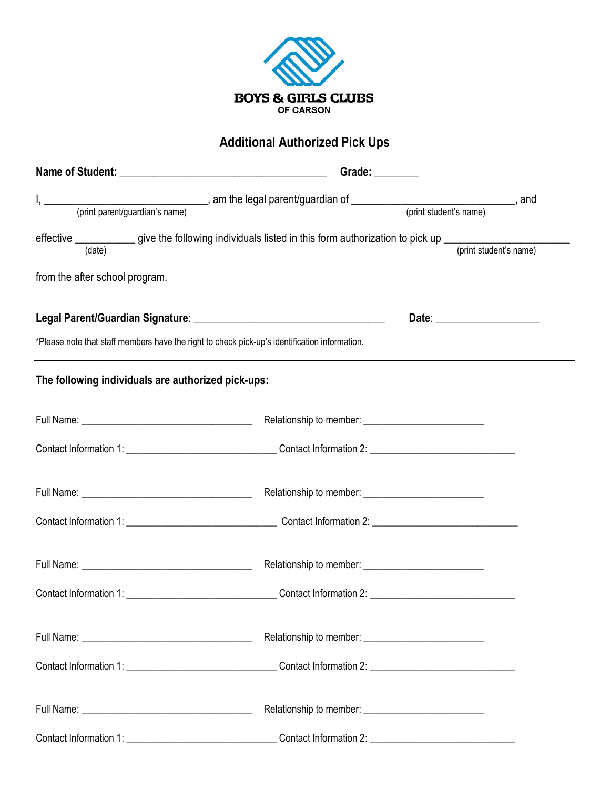

# **Additional Authorized Pick Ups**

| (date)                                             |                                                                                               | (print student's name)         |
|----------------------------------------------------|-----------------------------------------------------------------------------------------------|--------------------------------|
| from the after school program.                     |                                                                                               |                                |
|                                                    |                                                                                               | Date: ________________________ |
|                                                    | *Please note that staff members have the right to check pick-up's identification information. |                                |
| The following individuals are authorized pick-ups: |                                                                                               |                                |
|                                                    |                                                                                               |                                |
|                                                    |                                                                                               |                                |
|                                                    |                                                                                               |                                |
|                                                    |                                                                                               |                                |
|                                                    |                                                                                               |                                |
|                                                    |                                                                                               |                                |
|                                                    |                                                                                               |                                |
|                                                    |                                                                                               |                                |
|                                                    |                                                                                               |                                |
|                                                    |                                                                                               |                                |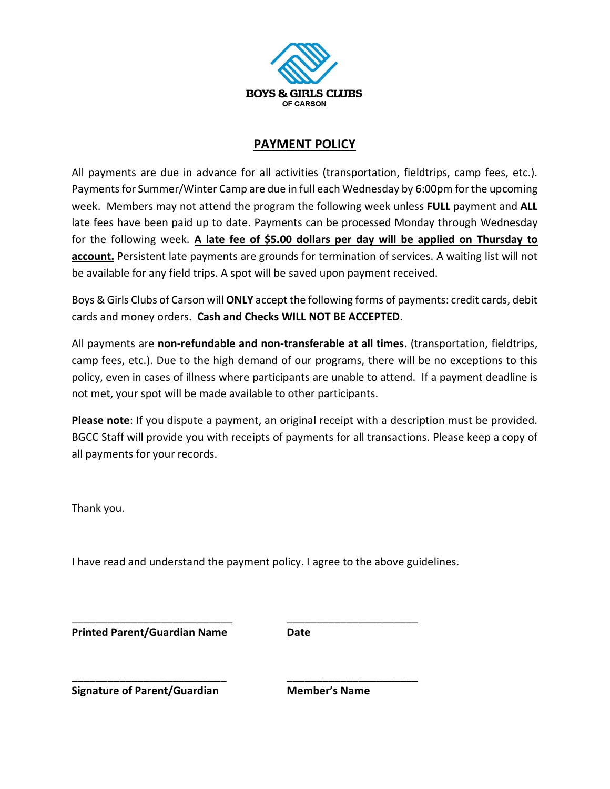

## **PAYMENT POLICY**

All payments are due in advance for all activities (transportation, fieldtrips, camp fees, etc.). Payments for Summer/Winter Camp are due in full each Wednesday by 6:00pm for the upcoming week. Members may not attend the program the following week unless **FULL** payment and **ALL** late fees have been paid up to date. Payments can be processed Monday through Wednesday for the following week. **A late fee of \$5.00 dollars per day will be applied on Thursday to account.** Persistent late payments are grounds for termination of services. A waiting list will not be available for any field trips. A spot will be saved upon payment received.

Boys & Girls Clubs of Carson will **ONLY** accept the following forms of payments: credit cards, debit cards and money orders. **Cash and Checks WILL NOT BE ACCEPTED**.

All payments are **non-refundable and non-transferable at all times.** (transportation, fieldtrips, camp fees, etc.). Due to the high demand of our programs, there will be no exceptions to this policy, even in cases of illness where participants are unable to attend. If a payment deadline is not met, your spot will be made available to other participants.

**Please note**: If you dispute a payment, an original receipt with a description must be provided. BGCC Staff will provide you with receipts of payments for all transactions. Please keep a copy of all payments for your records.

Thank you.

I have read and understand the payment policy. I agree to the above guidelines.

\_\_\_\_\_\_\_\_\_\_\_\_\_\_\_\_\_\_\_\_\_\_\_\_\_\_\_ \_\_\_\_\_\_\_\_\_\_\_\_\_\_\_\_\_\_\_\_\_\_

\_\_\_\_\_\_\_\_\_\_\_\_\_\_\_\_\_\_\_\_\_\_\_\_\_\_ \_\_\_\_\_\_\_\_\_\_\_\_\_\_\_\_\_\_\_\_\_\_

**Printed Parent/Guardian Name Date**

**Signature of Parent/Guardian Member's Name**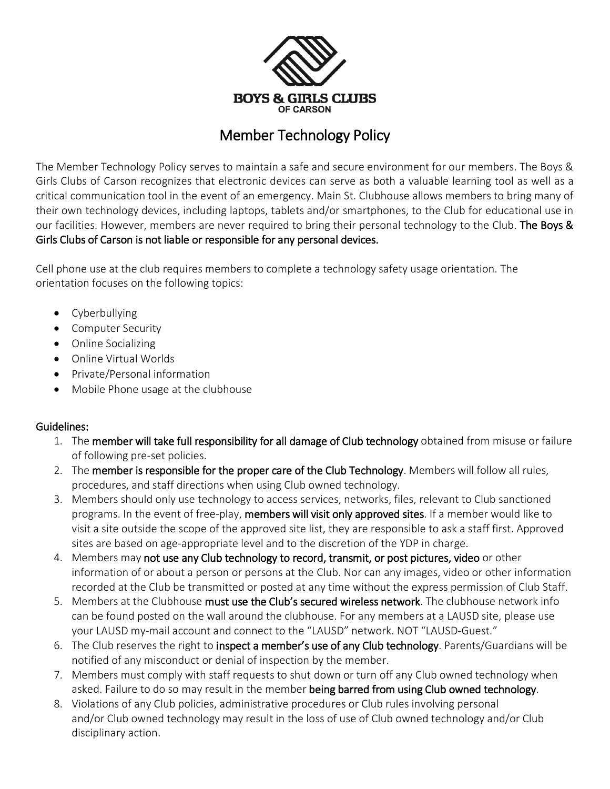

# Member Technology Policy

The Member Technology Policy serves to maintain a safe and secure environment for our members. The Boys & Girls Clubs of Carson recognizes that electronic devices can serve as both a valuable learning tool as well as a critical communication tool in the event of an emergency. Main St. Clubhouse allows members to bring many of their own technology devices, including laptops, tablets and/or smartphones, to the Club for educational use in our facilities. However, members are never required to bring their personal technology to the Club. The Boys & Girls Clubs of Carson is not liable or responsible for any personal devices.

Cell phone use at the club requires members to complete a technology safety usage orientation. The orientation focuses on the following topics:

- Cyberbullying
- Computer Security
- Online Socializing
- Online Virtual Worlds
- Private/Personal information
- Mobile Phone usage at the clubhouse

#### Guidelines:

- 1. The member will take full responsibility for all damage of Club technology obtained from misuse or failure of following pre-set policies.
- 2. The member is responsible for the proper care of the Club Technology. Members will follow all rules, procedures, and staff directions when using Club owned technology.
- 3. Members should only use technology to access services, networks, files, relevant to Club sanctioned programs. In the event of free-play, members will visit only approved sites. If a member would like to visit a site outside the scope of the approved site list, they are responsible to ask a staff first. Approved sites are based on age-appropriate level and to the discretion of the YDP in charge.
- 4. Members may not use any Club technology to record, transmit, or post pictures, video or other information of or about a person or persons at the Club. Nor can any images, video or other information recorded at the Club be transmitted or posted at any time without the express permission of Club Staff.
- 5. Members at the Clubhouse must use the Club's secured wireless network. The clubhouse network info can be found posted on the wall around the clubhouse. For any members at a LAUSD site, please use your LAUSD my-mail account and connect to the "LAUSD" network. NOT "LAUSD-Guest."
- 6. The Club reserves the right to inspect a member's use of any Club technology. Parents/Guardians will be notified of any misconduct or denial of inspection by the member.
- 7. Members must comply with staff requests to shut down or turn off any Club owned technology when asked. Failure to do so may result in the member being barred from using Club owned technology.
- 8. Violations of any Club policies, administrative procedures or Club rules involving personal and/or Club owned technology may result in the loss of use of Club owned technology and/or Club disciplinary action.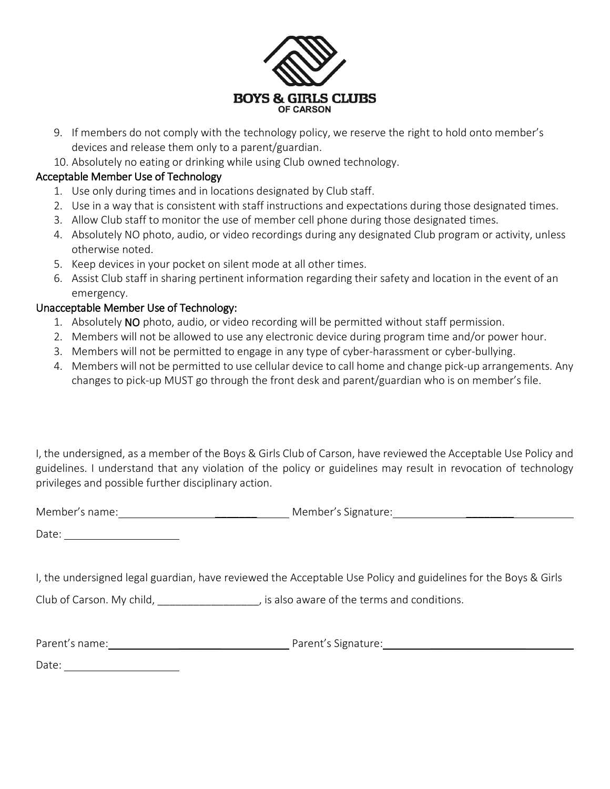

- 9. If members do not comply with the technology policy, we reserve the right to hold onto member's devices and release them only to a parent/guardian.
- 10. Absolutely no eating or drinking while using Club owned technology.

## Acceptable Member Use of Technology

- 1. Use only during times and in locations designated by Club staff.
- 2. Use in a way that is consistent with staff instructions and expectations during those designated times.
- 3. Allow Club staff to monitor the use of member cell phone during those designated times.
- 4. Absolutely NO photo, audio, or video recordings during any designated Club program or activity, unless otherwise noted.
- 5. Keep devices in your pocket on silent mode at all other times.
- 6. Assist Club staff in sharing pertinent information regarding their safety and location in the event of an emergency.

## Unacceptable Member Use of Technology:

- 1. Absolutely NO photo, audio, or video recording will be permitted without staff permission.
- 2. Members will not be allowed to use any electronic device during program time and/or power hour.
- 3. Members will not be permitted to engage in any type of cyber-harassment or cyber-bullying.
- 4. Members will not be permitted to use cellular device to call home and change pick-up arrangements. Any changes to pick-up MUST go through the front desk and parent/guardian who is on member's file.

I, the undersigned, as a member of the Boys & Girls Club of Carson, have reviewed the Acceptable Use Policy and guidelines. I understand that any violation of the policy or guidelines may result in revocation of technology privileges and possible further disciplinary action.

Member's name: \_\_\_\_\_\_\_ Member's Signature: \_\_\_\_\_\_\_\_

Date:

I, the undersigned legal guardian, have reviewed the Acceptable Use Policy and guidelines for the Boys & Girls

Club of Carson. My child, \_\_\_\_\_\_\_\_\_\_\_\_\_\_\_\_\_\_, is also aware of the terms and conditions.

| Parent's name: | Parent's Signature: |
|----------------|---------------------|
|                |                     |

Date: when the contract of the contract of the contract of the contract of the contract of the contract of the contract of the contract of the contract of the contract of the contract of the contract of the contract of the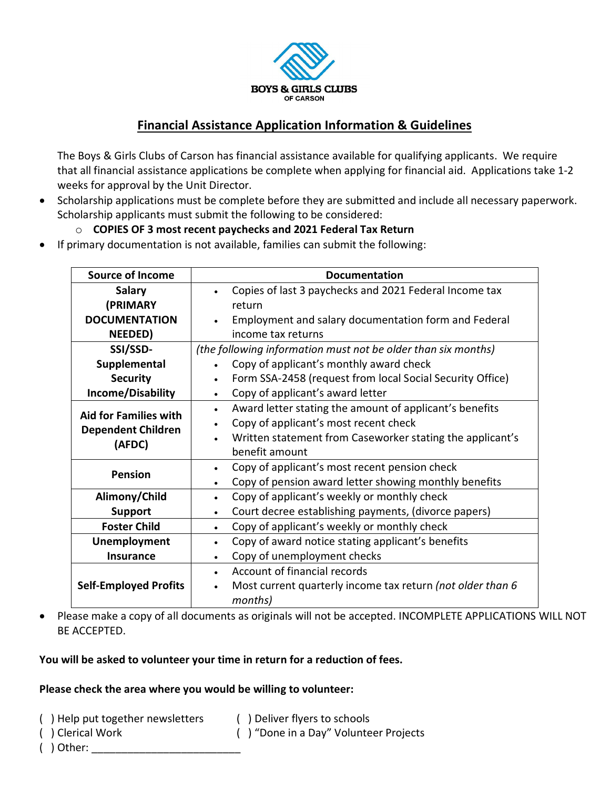

# **Financial Assistance Application Information & Guidelines**

The Boys & Girls Clubs of Carson has financial assistance available for qualifying applicants. We require that all financial assistance applications be complete when applying for financial aid. Applications take 1-2 weeks for approval by the Unit Director.

• Scholarship applications must be complete before they are submitted and include all necessary paperwork. Scholarship applicants must submit the following to be considered:

## o **COPIES OF 3 most recent paychecks and 2021 Federal Tax Return**

• If primary documentation is not available, families can submit the following:

| <b>Source of Income</b>      | <b>Documentation</b>                                                    |
|------------------------------|-------------------------------------------------------------------------|
| <b>Salary</b>                | Copies of last 3 paychecks and 2021 Federal Income tax                  |
| (PRIMARY                     | return                                                                  |
| <b>DOCUMENTATION</b>         | Employment and salary documentation form and Federal                    |
| NEEDED)                      | income tax returns                                                      |
| SSI/SSD-                     | (the following information must not be older than six months)           |
| Supplemental                 | Copy of applicant's monthly award check                                 |
| <b>Security</b>              | Form SSA-2458 (request from local Social Security Office)<br>$\bullet$  |
| Income/Disability            | Copy of applicant's award letter                                        |
| <b>Aid for Families with</b> | Award letter stating the amount of applicant's benefits<br>$\bullet$    |
|                              | Copy of applicant's most recent check<br>$\bullet$                      |
| <b>Dependent Children</b>    | Written statement from Caseworker stating the applicant's               |
| (AFDC)                       | benefit amount                                                          |
| <b>Pension</b>               | Copy of applicant's most recent pension check<br>$\bullet$              |
|                              | Copy of pension award letter showing monthly benefits<br>$\bullet$      |
| Alimony/Child                | Copy of applicant's weekly or monthly check<br>$\bullet$                |
| <b>Support</b>               | Court decree establishing payments, (divorce papers)<br>$\bullet$       |
| <b>Foster Child</b>          | Copy of applicant's weekly or monthly check<br>$\bullet$                |
| Unemployment                 | Copy of award notice stating applicant's benefits<br>$\bullet$          |
| <b>Insurance</b>             | Copy of unemployment checks<br>$\bullet$                                |
|                              | Account of financial records                                            |
| <b>Self-Employed Profits</b> | Most current quarterly income tax return (not older than 6<br>$\bullet$ |
|                              | months)                                                                 |

• Please make a copy of all documents as originals will not be accepted. INCOMPLETE APPLICATIONS WILL NOT BE ACCEPTED.

#### **You will be asked to volunteer your time in return for a reduction of fees.**

#### **Please check the area where you would be willing to volunteer:**

- ( ) Help put together newsletters ( ) Deliver flyers to schools
	-
- ( ) Clerical Work ( ) "Done in a Day" Volunteer Projects
- $($  ) Other: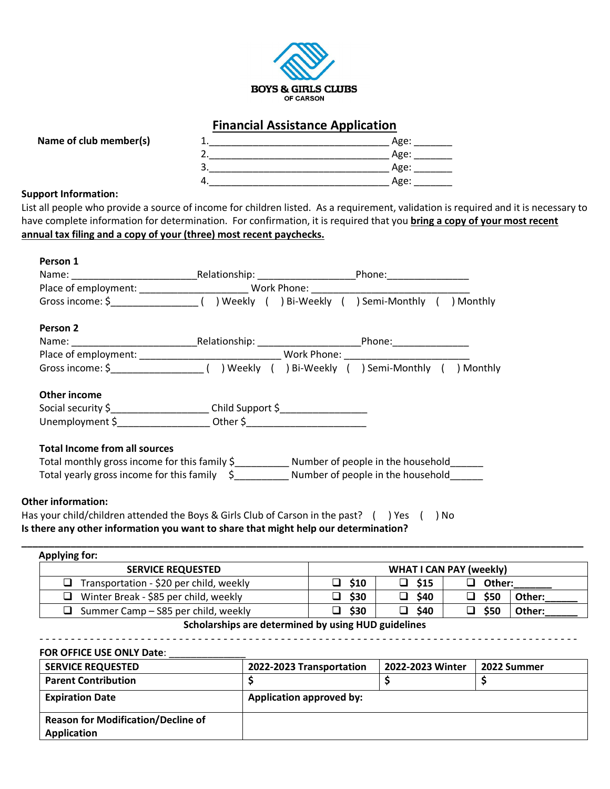

## **Financial Assistance Application**



#### **Support Information:**

List all people who provide a source of income for children listed. As a requirement, validation is required and it is necessary to have complete information for determination. For confirmation, it is required that you **bring a copy of your most recent annual tax filing and a copy of your (three) most recent paychecks.** 

|                                      |                                                                                    | Gross income: \$________________________() Weekly () Bi-Weekly () Semi-Monthly () Monthly |  |
|--------------------------------------|------------------------------------------------------------------------------------|-------------------------------------------------------------------------------------------|--|
| Person 2                             |                                                                                    |                                                                                           |  |
|                                      |                                                                                    |                                                                                           |  |
|                                      |                                                                                    |                                                                                           |  |
|                                      |                                                                                    |                                                                                           |  |
| Other income                         |                                                                                    |                                                                                           |  |
|                                      | Social security \$____________________________Child Support \$____________________ |                                                                                           |  |
|                                      |                                                                                    |                                                                                           |  |
| <b>Total Income from all sources</b> |                                                                                    |                                                                                           |  |
|                                      |                                                                                    |                                                                                           |  |
|                                      |                                                                                    | Total yearly gross income for this family $\phi$ Number of people in the household        |  |

| Applying for:                                  |      |             |                                |        |
|------------------------------------------------|------|-------------|--------------------------------|--------|
| <b>SERVICE REQUESTED</b>                       |      |             | <b>WHAT I CAN PAY (weekly)</b> |        |
| $\Box$ Transportation - \$20 per child, weekly | \$10 | $\Box$ \$15 | $\Box$ Other:                  |        |
| $\Box$ Winter Break - \$85 per child, weekly   | \$30 | \$40<br>◻   | \$50<br>□                      | Other: |
| $\Box$ Summer Camp – S85 per child, weekly     | \$30 | \$40<br>□   | \$50                           | Other: |

#### **Scholarships are determined by using HUD guidelines** - - - - - - - - - - - - - - - - - - - - - - - - - - - - - - - - - - - - - - - - - - - - - - - - - - - - - - - - - - - - - - - - - - - - - - - - - - - - - - - - - - - - -

#### **FOR OFFICE USE ONLY Date:**

| <b>SERVICE REQUESTED</b>                  | 2022-2023 Transportation        | 2022-2023 Winter | 2022 Summer |
|-------------------------------------------|---------------------------------|------------------|-------------|
| <b>Parent Contribution</b>                |                                 |                  |             |
| <b>Expiration Date</b>                    | <b>Application approved by:</b> |                  |             |
| <b>Reason for Modification/Decline of</b> |                                 |                  |             |
| <b>Application</b>                        |                                 |                  |             |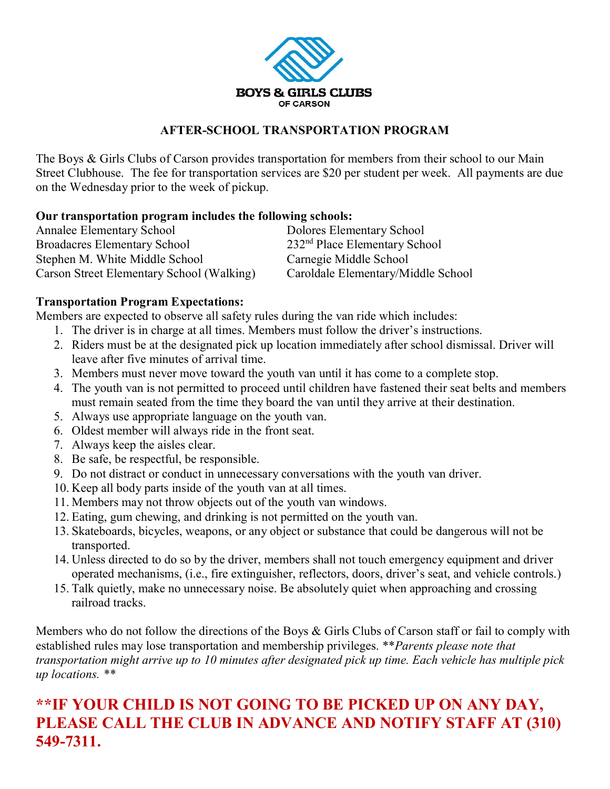

## **AFTER-SCHOOL TRANSPORTATION PROGRAM**

The Boys & Girls Clubs of Carson provides transportation for members from their school to our Main Street Clubhouse. The fee for transportation services are \$20 per student per week. All payments are due on the Wednesday prior to the week of pickup.

## **Our transportation program includes the following schools:**

| <b>Annalee Elementary School</b>          | Dolores Elementary School          |
|-------------------------------------------|------------------------------------|
| <b>Broadacres Elementary School</b>       | $232nd$ Place Elementary School    |
| Stephen M. White Middle School            | Carnegie Middle School             |
| Carson Street Elementary School (Walking) | Caroldale Elementary/Middle School |

## **Transportation Program Expectations:**

Members are expected to observe all safety rules during the van ride which includes:

- 1. The driver is in charge at all times. Members must follow the driver's instructions.
- 2. Riders must be at the designated pick up location immediately after school dismissal. Driver will leave after five minutes of arrival time.
- 3. Members must never move toward the youth van until it has come to a complete stop.
- 4. The youth van is not permitted to proceed until children have fastened their seat belts and members must remain seated from the time they board the van until they arrive at their destination.
- 5. Always use appropriate language on the youth van.
- 6. Oldest member will always ride in the front seat.
- 7. Always keep the aisles clear.
- 8. Be safe, be respectful, be responsible.
- 9. Do not distract or conduct in unnecessary conversations with the youth van driver.
- 10. Keep all body parts inside of the youth van at all times.
- 11. Members may not throw objects out of the youth van windows.
- 12. Eating, gum chewing, and drinking is not permitted on the youth van.
- 13. Skateboards, bicycles, weapons, or any object or substance that could be dangerous will not be transported.
- 14. Unless directed to do so by the driver, members shall not touch emergency equipment and driver operated mechanisms, (i.e., fire extinguisher, reflectors, doors, driver's seat, and vehicle controls.)
- 15. Talk quietly, make no unnecessary noise. Be absolutely quiet when approaching and crossing railroad tracks.

Members who do not follow the directions of the Boys & Girls Clubs of Carson staff or fail to comply with established rules may lose transportation and membership privileges. \*\**Parents please note that transportation might arrive up to 10 minutes after designated pick up time. Each vehicle has multiple pick up locations. \*\**

# **\*\*IF YOUR CHILD IS NOT GOING TO BE PICKED UP ON ANY DAY, PLEASE CALL THE CLUB IN ADVANCE AND NOTIFY STAFF AT (310) 549-7311.**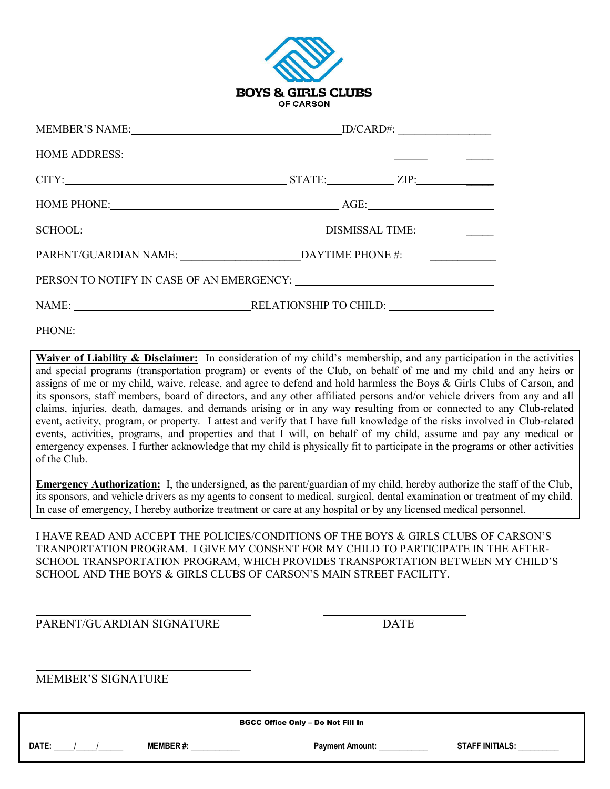

| HOME ADDRESS: New York Contract the Contract of the Contract of the Contract of the Contract of the Contract of the Contract of the Contract of the Contract of the Contract of the Contract of the Contract of the Contract o |                                                                                          |  |  |
|--------------------------------------------------------------------------------------------------------------------------------------------------------------------------------------------------------------------------------|------------------------------------------------------------------------------------------|--|--|
|                                                                                                                                                                                                                                |                                                                                          |  |  |
|                                                                                                                                                                                                                                |                                                                                          |  |  |
|                                                                                                                                                                                                                                |                                                                                          |  |  |
|                                                                                                                                                                                                                                | PARENT/GUARDIAN NAME: ___________________________________DAYTIME PHONE #: ______________ |  |  |
|                                                                                                                                                                                                                                |                                                                                          |  |  |
|                                                                                                                                                                                                                                |                                                                                          |  |  |
|                                                                                                                                                                                                                                |                                                                                          |  |  |

Waiver of Liability & Disclaimer: In consideration of my child's membership, and any participation in the activities and special programs (transportation program) or events of the Club, on behalf of me and my child and any heirs or assigns of me or my child, waive, release, and agree to defend and hold harmless the Boys & Girls Clubs of Carson, and its sponsors, staff members, board of directors, and any other affiliated persons and/or vehicle drivers from any and all claims, injuries, death, damages, and demands arising or in any way resulting from or connected to any Club-related event, activity, program, or property. I attest and verify that I have full knowledge of the risks involved in Club-related events, activities, programs, and properties and that I will, on behalf of my child, assume and pay any medical or emergency expenses. I further acknowledge that my child is physically fit to participate in the programs or other activities of the Club.

**Emergency Authorization:** I, the undersigned, as the parent/guardian of my child, hereby authorize the staff of the Club, its sponsors, and vehicle drivers as my agents to consent to medical, surgical, dental examination or treatment of my child. In case of emergency, I hereby authorize treatment or care at any hospital or by any licensed medical personnel.

I HAVE READ AND ACCEPT THE POLICIES/CONDITIONS OF THE BOYS & GIRLS CLUBS OF CARSON'S TRANPORTATION PROGRAM. I GIVE MY CONSENT FOR MY CHILD TO PARTICIPATE IN THE AFTER-SCHOOL TRANSPORTATION PROGRAM, WHICH PROVIDES TRANSPORTATION BETWEEN MY CHILD'S SCHOOL AND THE BOYS & GIRLS CLUBS OF CARSON'S MAIN STREET FACILITY.

PARENT/GUARDIAN SIGNATURE **Example 2018** DATE

MEMBER'S SIGNATURE

| <b>BGCC Office Only - Do Not Fill In</b> |                 |                        |                        |  |
|------------------------------------------|-----------------|------------------------|------------------------|--|
| DATE:                                    | <b>MEMBER#:</b> | <b>Payment Amount:</b> | <b>STAFF INITIALS:</b> |  |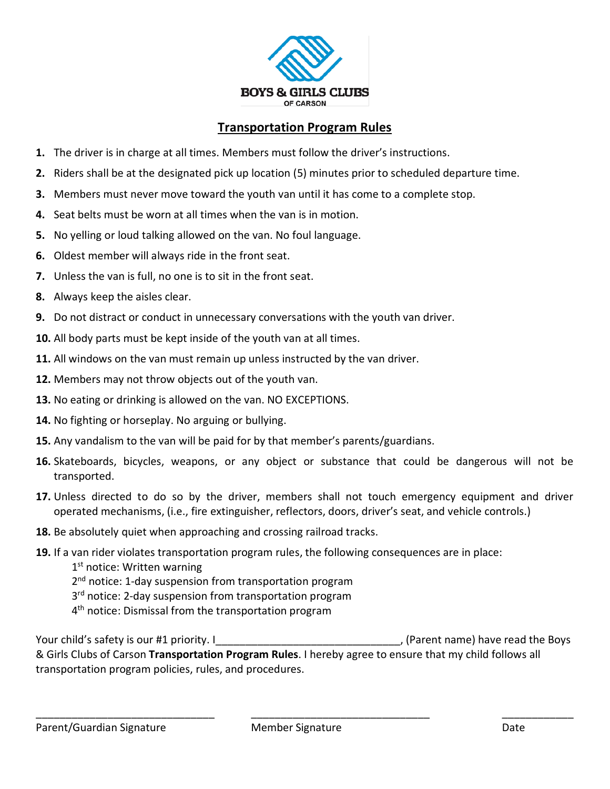

# **Transportation Program Rules**

- **1.** The driver is in charge at all times. Members must follow the driver's instructions.
- **2.** Riders shall be at the designated pick up location (5) minutes prior to scheduled departure time.
- **3.** Members must never move toward the youth van until it has come to a complete stop.
- **4.** Seat belts must be worn at all times when the van is in motion.
- **5.** No yelling or loud talking allowed on the van. No foul language.
- **6.** Oldest member will always ride in the front seat.
- **7.** Unless the van is full, no one is to sit in the front seat.
- **8.** Always keep the aisles clear.
- **9.** Do not distract or conduct in unnecessary conversations with the youth van driver.
- **10.** All body parts must be kept inside of the youth van at all times.
- **11.** All windows on the van must remain up unless instructed by the van driver.
- **12.** Members may not throw objects out of the youth van.
- **13.** No eating or drinking is allowed on the van. NO EXCEPTIONS.
- **14.** No fighting or horseplay. No arguing or bullying.
- **15.** Any vandalism to the van will be paid for by that member's parents/guardians.
- **16.** Skateboards, bicycles, weapons, or any object or substance that could be dangerous will not be transported.
- **17.** Unless directed to do so by the driver, members shall not touch emergency equipment and driver operated mechanisms, (i.e., fire extinguisher, reflectors, doors, driver's seat, and vehicle controls.)
- **18.** Be absolutely quiet when approaching and crossing railroad tracks.
- **19.** If a van rider violates transportation program rules, the following consequences are in place:
	- 1<sup>st</sup> notice: Written warning
	- 2<sup>nd</sup> notice: 1-day suspension from transportation program
	- 3<sup>rd</sup> notice: 2-day suspension from transportation program
	- 4<sup>th</sup> notice: Dismissal from the transportation program

Your child's safety is our #1 priority. I contained the Soys and the Boys (Parent name) have read the Boys & Girls Clubs of Carson **Transportation Program Rules**. I hereby agree to ensure that my child follows all transportation program policies, rules, and procedures.

\_\_\_\_\_\_\_\_\_\_\_\_\_\_\_\_\_\_\_\_\_\_\_\_\_\_\_\_\_\_ \_\_\_\_\_\_\_\_\_\_\_\_\_\_\_\_\_\_\_\_\_\_\_\_\_\_\_\_\_\_ \_\_\_\_\_\_\_\_\_\_\_\_